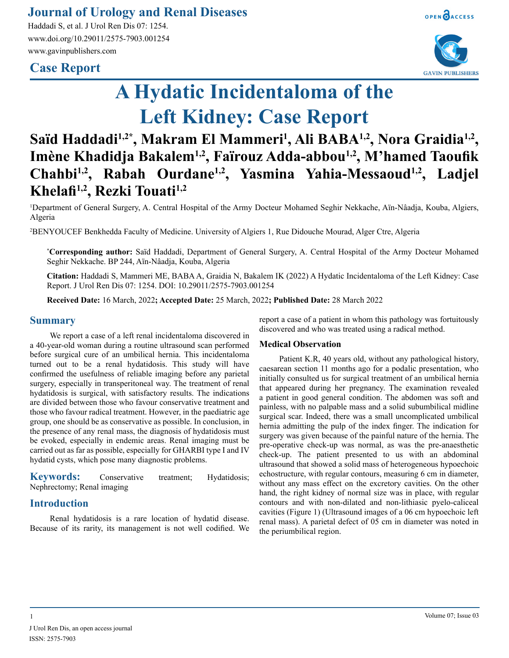### **Journal of Urology and Renal Diseases**

Haddadi S, et al. J Urol Ren Dis 07: 1254. www.doi.org/10.29011/2575-7903.001254 www.gavinpublishers.com

## **Case Report**



**GAVIN PUBLISHERS** 

# **A Hydatic Incidentaloma of the Left Kidney: Case Report**

# Saïd Haddadi<sup>1,2\*</sup>, Makram El Mammeri<sup>1</sup>, Ali BABA<sup>1,2</sup>, Nora Graidia<sup>1,2</sup>, **Imène Khadidja Bakalem1,2, Faïrouz Adda-abbou1,2, M'hamed Taoufik Chahbi1,2 , Rabah Ourdane1,2, Yasmina Yahia-Messaoud1,2, Ladjel Khelafi1,2, Rezki Touati1,2**

1 Department of General Surgery, A. Central Hospital of the Army Docteur Mohamed Seghir Nekkache, Aïn-Nâadja, Kouba, Algiers, Algeria

2 BENYOUCEF Benkhedda Faculty of Medicine. University of Algiers 1, Rue Didouche Mourad, Alger Ctre, Algeria

**\* Corresponding author:** Saïd Haddadi, Department of General Surgery, A. Central Hospital of the Army Docteur Mohamed Seghir Nekkache. BP 244, Aïn-Nâadja, Kouba, Algeria

**Citation:** Haddadi S, Mammeri ME, BABA A, Graidia N, Bakalem IK (2022) A Hydatic Incidentaloma of the Left Kidney: Case Report. J Urol Ren Dis 07: 1254. DOI: 10.29011/2575-7903.001254

**Received Date:** 16 March, 2022**; Accepted Date:** 25 March, 2022**; Published Date:** 28 March 2022

#### **Summary**

We report a case of a left renal incidentaloma discovered in a 40-year-old woman during a routine ultrasound scan performed before surgical cure of an umbilical hernia. This incidentaloma turned out to be a renal hydatidosis. This study will have confirmed the usefulness of reliable imaging before any parietal surgery, especially in transperitoneal way. The treatment of renal hydatidosis is surgical, with satisfactory results. The indications are divided between those who favour conservative treatment and those who favour radical treatment. However, in the paediatric age group, one should be as conservative as possible. In conclusion, in the presence of any renal mass, the diagnosis of hydatidosis must be evoked, especially in endemic areas. Renal imaging must be carried out as far as possible, especially for GHARBI type I and IV hydatid cysts, which pose many diagnostic problems.

**Keywords:** Conservative treatment; Hydatidosis; Nephrectomy; Renal imaging

#### **Introduction**

Renal hydatidosis is a rare location of hydatid disease. Because of its rarity, its management is not well codified. We report a case of a patient in whom this pathology was fortuitously discovered and who was treated using a radical method.

#### **Medical Observation**

Patient K.R, 40 years old, without any pathological history, caesarean section 11 months ago for a podalic presentation, who initially consulted us for surgical treatment of an umbilical hernia that appeared during her pregnancy. The examination revealed a patient in good general condition. The abdomen was soft and painless, with no palpable mass and a solid subumbilical midline surgical scar. Indeed, there was a small uncomplicated umbilical hernia admitting the pulp of the index finger. The indication for surgery was given because of the painful nature of the hernia. The pre-operative check-up was normal, as was the pre-anaesthetic check-up. The patient presented to us with an abdominal ultrasound that showed a solid mass of heterogeneous hypoechoic echostructure, with regular contours, measuring 6 cm in diameter, without any mass effect on the excretory cavities. On the other hand, the right kidney of normal size was in place, with regular contours and with non-dilated and non-lithiasic pyelo-caliceal cavities (Figure 1) (Ultrasound images of a 06 cm hypoechoic left renal mass). A parietal defect of 05 cm in diameter was noted in the periumbilical region.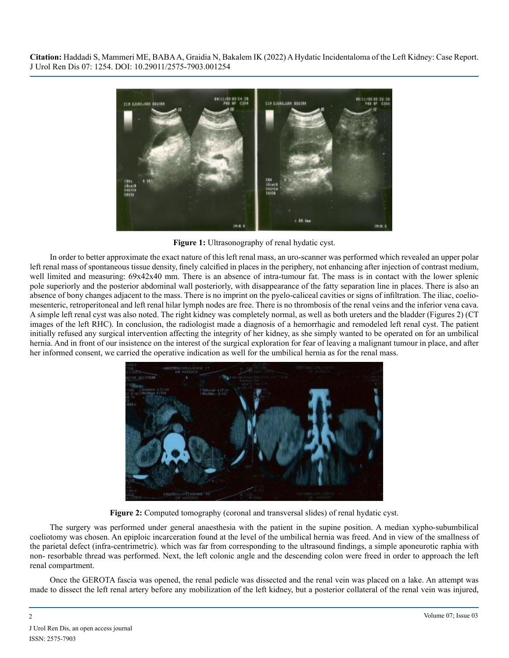

Figure 1: Ultrasonography of renal hydatic cyst.

In order to better approximate the exact nature of this left renal mass, an uro-scanner was performed which revealed an upper polar left renal mass of spontaneous tissue density, finely calcified in places in the periphery, not enhancing after injection of contrast medium, well limited and measuring: 69x42x40 mm. There is an absence of intra-tumour fat. The mass is in contact with the lower splenic pole superiorly and the posterior abdominal wall posteriorly, with disappearance of the fatty separation line in places. There is also an absence of bony changes adjacent to the mass. There is no imprint on the pyelo-caliceal cavities or signs of infiltration. The iliac, coeliomesenteric, retroperitoneal and left renal hilar lymph nodes are free. There is no thrombosis of the renal veins and the inferior vena cava. A simple left renal cyst was also noted. The right kidney was completely normal, as well as both ureters and the bladder (Figures 2) (CT images of the left RHC). In conclusion, the radiologist made a diagnosis of a hemorrhagic and remodeled left renal cyst. The patient initially refused any surgical intervention affecting the integrity of her kidney, as she simply wanted to be operated on for an umbilical hernia. And in front of our insistence on the interest of the surgical exploration for fear of leaving a malignant tumour in place, and after her informed consent, we carried the operative indication as well for the umbilical hernia as for the renal mass.



**Figure 2:** Computed tomography (coronal and transversal slides) of renal hydatic cyst.

The surgery was performed under general anaesthesia with the patient in the supine position. A median xypho-subumbilical coeliotomy was chosen. An epiploic incarceration found at the level of the umbilical hernia was freed. And in view of the smallness of the parietal defect (infra-centrimetric). which was far from corresponding to the ultrasound findings, a simple aponeurotic raphia with non- resorbable thread was performed. Next, the left colonic angle and the descending colon were freed in order to approach the left renal compartment.

Once the GEROTA fascia was opened, the renal pedicle was dissected and the renal vein was placed on a lake. An attempt was made to dissect the left renal artery before any mobilization of the left kidney, but a posterior collateral of the renal vein was injured,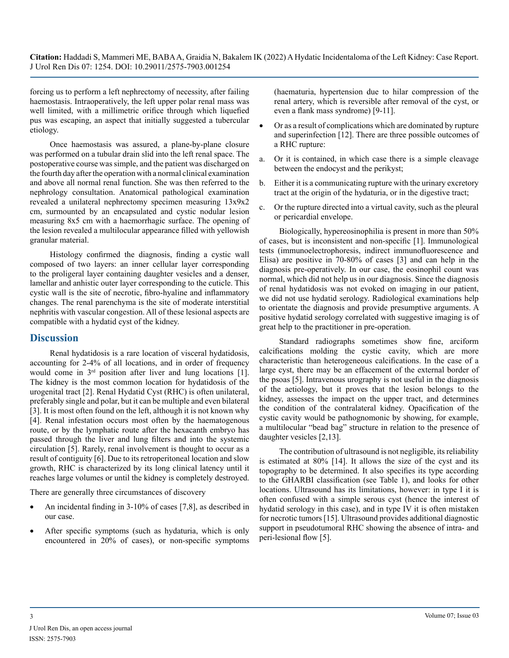forcing us to perform a left nephrectomy of necessity, after failing haemostasis. Intraoperatively, the left upper polar renal mass was well limited, with a millimetric orifice through which liquefied pus was escaping, an aspect that initially suggested a tubercular etiology.

Once haemostasis was assured, a plane-by-plane closure was performed on a tubular drain slid into the left renal space. The postoperative course was simple, and the patient was discharged on the fourth day after the operation with a normal clinical examination and above all normal renal function. She was then referred to the nephrology consultation. Anatomical pathological examination revealed a unilateral nephrectomy specimen measuring 13x9x2 cm, surmounted by an encapsulated and cystic nodular lesion measuring 8x5 cm with a haemorrhagic surface. The opening of the lesion revealed a multilocular appearance filled with yellowish granular material.

Histology confirmed the diagnosis, finding a cystic wall composed of two layers: an inner cellular layer corresponding to the proligeral layer containing daughter vesicles and a denser, lamellar and anhistic outer layer corresponding to the cuticle. This cystic wall is the site of necrotic, fibro-hyaline and inflammatory changes. The renal parenchyma is the site of moderate interstitial nephritis with vascular congestion. All of these lesional aspects are compatible with a hydatid cyst of the kidney.

#### **Discussion**

Renal hydatidosis is a rare location of visceral hydatidosis, accounting for 2-4% of all locations, and in order of frequency would come in  $3<sup>rd</sup>$  position after liver and lung locations [1]. The kidney is the most common location for hydatidosis of the urogenital tract [2]. Renal Hydatid Cyst (RHC) is often unilateral, preferably single and polar, but it can be multiple and even bilateral [3]. It is most often found on the left, although it is not known why [4]. Renal infestation occurs most often by the haematogenous route, or by the lymphatic route after the hexacanth embryo has passed through the liver and lung filters and into the systemic circulation [5]. Rarely, renal involvement is thought to occur as a result of contiguity [6]. Due to its retroperitoneal location and slow growth, RHC is characterized by its long clinical latency until it reaches large volumes or until the kidney is completely destroyed.

There are generally three circumstances of discovery

- An incidental finding in  $3-10\%$  of cases [7,8], as described in our case.
- After specific symptoms (such as hydaturia, which is only encountered in 20% of cases), or non-specific symptoms

(haematuria, hypertension due to hilar compression of the renal artery, which is reversible after removal of the cyst, or even a flank mass syndrome) [9-11].

- Or as a result of complications which are dominated by rupture and superinfection [12]. There are three possible outcomes of a RHC rupture:
- a. Or it is contained, in which case there is a simple cleavage between the endocyst and the perikyst;
- b. Either it is a communicating rupture with the urinary excretory tract at the origin of the hydaturia, or in the digestive tract;
- c. Or the rupture directed into a virtual cavity, such as the pleural or pericardial envelope.

Biologically, hypereosinophilia is present in more than 50% of cases, but is inconsistent and non-specific [1]. Immunological tests (immunoelectrophoresis, indirect immunofluorescence and Elisa) are positive in 70-80% of cases [3] and can help in the diagnosis pre-operatively. In our case, the eosinophil count was normal, which did not help us in our diagnosis. Since the diagnosis of renal hydatidosis was not evoked on imaging in our patient, we did not use hydatid serology. Radiological examinations help to orientate the diagnosis and provide presumptive arguments. A positive hydatid serology correlated with suggestive imaging is of great help to the practitioner in pre-operation.

Standard radiographs sometimes show fine, arciform calcifications molding the cystic cavity, which are more characteristic than heterogeneous calcifications. In the case of a large cyst, there may be an effacement of the external border of the psoas [5]. Intravenous urography is not useful in the diagnosis of the aetiology, but it proves that the lesion belongs to the kidney, assesses the impact on the upper tract, and determines the condition of the contralateral kidney. Opacification of the cystic cavity would be pathognomonic by showing, for example, a multilocular "bead bag" structure in relation to the presence of daughter vesicles [2,13].

The contribution of ultrasound is not negligible, its reliability is estimated at 80% [14]. It allows the size of the cyst and its topography to be determined. It also specifies its type according to the GHARBI classification (see Table 1), and looks for other locations. Ultrasound has its limitations, however: in type I it is often confused with a simple serous cyst (hence the interest of hydatid serology in this case), and in type IV it is often mistaken for necrotic tumors [15]. Ultrasound provides additional diagnostic support in pseudotumoral RHC showing the absence of intra- and peri-lesional flow [5].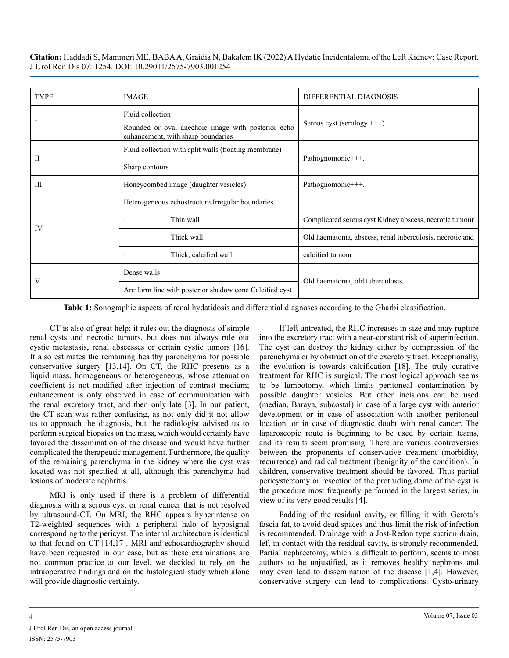| <b>TYPE</b> | <b>IMAGE</b>                                                                             | DIFFERENTIAL DIAGNOSIS                                   |
|-------------|------------------------------------------------------------------------------------------|----------------------------------------------------------|
|             | Fluid collection                                                                         | Serous cyst (serology $++$ )                             |
|             | Rounded or oval anechoic image with posterior echo<br>enhancement, with sharp boundaries |                                                          |
| П           | Fluid collection with split walls (floating membrane)                                    | Pathognomonic+++.                                        |
|             | Sharp contours                                                                           |                                                          |
| ΠI          | Honeycombed image (daughter vesicles)                                                    | Pathognomonic+++.                                        |
| IV          | Heterogeneous echostructure Irregular boundaries                                         |                                                          |
|             | Thin wall                                                                                | Complicated serous cyst Kidney abscess, necrotic tumour  |
|             | Thick wall                                                                               | Old haematoma, abscess, renal tuberculosis, necrotic and |
|             | Thick, calcified wall                                                                    | calcified tumour                                         |
| V           | Dense walls                                                                              | Old haematoma, old tuberculosis                          |
|             | Arciform line with posterior shadow cone Calcified cyst                                  |                                                          |

**Table 1:** Sonographic aspects of renal hydatidosis and differential diagnoses according to the Gharbi classification.

CT is also of great help; it rules out the diagnosis of simple renal cysts and necrotic tumors, but does not always rule out cystic metastasis, renal abscesses or certain cystic tumors [16]. It also estimates the remaining healthy parenchyma for possible conservative surgery [13,14]. On CT, the RHC presents as a liquid mass, homogeneous or heterogeneous, whose attenuation coefficient is not modified after injection of contrast medium; enhancement is only observed in case of communication with the renal excretory tract, and then only late [3]. In our patient, the CT scan was rather confusing, as not only did it not allow us to approach the diagnosis, but the radiologist advised us to perform surgical biopsies on the mass, which would certainly have favored the dissemination of the disease and would have further complicated the therapeutic management. Furthermore, the quality of the remaining parenchyma in the kidney where the cyst was located was not specified at all, although this parenchyma had lesions of moderate nephritis.

MRI is only used if there is a problem of differential diagnosis with a serous cyst or renal cancer that is not resolved by ultrasound-CT. On MRI, the RHC appears hyperintense on T2-weighted sequences with a peripheral halo of hyposignal corresponding to the pericyst. The internal architecture is identical to that found on CT [14,17]. MRI and echocardiography should have been requested in our case, but as these examinations are not common practice at our level, we decided to rely on the intraoperative findings and on the histological study which alone will provide diagnostic certainty.

If left untreated, the RHC increases in size and may rupture into the excretory tract with a near-constant risk of superinfection. The cyst can destroy the kidney either by compression of the parenchyma or by obstruction of the excretory tract. Exceptionally, the evolution is towards calcification [18]. The truly curative treatment for RHC is surgical. The most logical approach seems to be lumbotomy, which limits peritoneal contamination by possible daughter vesicles. But other incisions can be used (median, Baraya, subcostal) in case of a large cyst with anterior development or in case of association with another peritoneal location, or in case of diagnostic doubt with renal cancer. The laparoscopic route is beginning to be used by certain teams, and its results seem promising. There are various controversies between the proponents of conservative treatment (morbidity, recurrence) and radical treatment (benignity of the condition). In children, conservative treatment should be favored. Thus partial pericystectomy or resection of the protruding dome of the cyst is the procedure most frequently performed in the largest series, in view of its very good results [4].

Padding of the residual cavity, or filling it with Gerota's fascia fat, to avoid dead spaces and thus limit the risk of infection is recommended. Drainage with a Jost-Redon type suction drain, left in contact with the residual cavity, is strongly recommended. Partial nephrectomy, which is difficult to perform, seems to most authors to be unjustified, as it removes healthy nephrons and may even lead to dissemination of the disease [1,4]. However, conservative surgery can lead to complications. Cysto-urinary